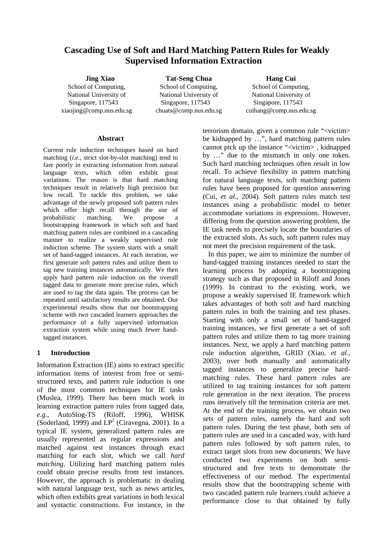# **Cascading Use of Soft and Hard Matching Pattern Rules for Weakly Supervised Information Extraction**

**Jing Xiao**  School of Computing, National University of Singapore, 117543 xiaojing@comp.nus.edu.sg

**Tat-Seng Chua**  School of Computing, National University of Singapore, 117543 chuats@comp.nus.edu.sg

**Hang Cui**  School of Computing, National University of Singapore, 117543 cuihang@comp.nus.edu.sg

#### **Abstract**

Current rule induction techniques based on hard matching (*i.e.,* strict slot-by-slot matching) tend to fare poorly in extracting information from natural language texts, which often exhibit great variations. The reason is that hard matching techniques result in relatively high precision but low recall. To tackle this problem, we take advantage of the newly proposed soft pattern rules which offer high recall through the use of probabilistic matching. We propose a bootstrapping framework in which soft and hard matching pattern rules are combined in a cascading manner to realize a weakly supervised rule induction scheme. The system starts with a small set of hand-tagged instances. At each iteration, we first generate soft pattern rules and utilize them to tag new training instances automatically. We then apply hard pattern rule induction on the overall tagged data to generate more precise rules, which are used to tag the data again. The process can be repeated until satisfactory results are obtained. Our experimental results show that our bootstrapping scheme with two cascaded learners approaches the performance of a fully supervised information extraction system while using much fewer handtagged instances.

### **1 Introduction**

Information Extraction (IE) aims to extract specific information items of interest from free or semistructured texts, and pattern rule induction is one of the most common techniques for IE tasks (Muslea, 1999). There has been much work in learning extraction pattern rules from tagged data, *e.g.,* AutoSlog-TS (Riloff, 1996), WHISK (Soderland, 1999) and  $LP^2$  (Ciravegna, 2001). In a typical IE system, generalized pattern rules are usually represented as regular expressions and matched against test instances through exact matching for each slot, which we call *hard matching*. Utilizing hard matching pattern rules could obtain precise results from test instances. However, the approach is problematic in dealing with natural language text, such as news articles, which often exhibits great variations in both lexical and syntactic constructions. For instance, in the

terrorism domain, given a common rule "<victim> be kidnapped by …", hard matching pattern rules cannot pick up the instance "<victim> , kidnapped by …" due to the mismatch in only one token. Such hard matching techniques often result in low recall. To achieve flexibility in pattern matching for natural language texts, soft matching pattern rules have been proposed for question answering (Cui, *et al.*, 2004). Soft pattern rules match test instances using a probabilistic model to better accommodate variations in expressions. However, differing from the question answering problem, the IE task needs to precisely locate the boundaries of the extracted slots. As such, soft pattern rules may not meet the precision requirement of the task.

 In this paper, we aim to minimize the number of hand-tagged training instances needed to start the learning process by adopting a bootstrapping strategy such as that proposed in Riloff and Jones (1999). In contrast to the existing work, we propose a weakly supervised IE framework which takes advantages of both soft and hard matching pattern rules in both the training and test phases. Starting with only a small set of hand-tagged training instances, we first generate a set of soft pattern rules and utilize them to tag more training instances. Next, we apply a hard matching pattern rule induction algorithm, GRID (Xiao, *et al.,* 2003), over both manually and automatically tagged instances to generalize precise hardmatching rules. These hard pattern rules are utilized to tag training instances for soft pattern rule generation in the next iteration. The process runs iteratively till the termination criteria are met. At the end of the training process, we obtain two sets of pattern rules, namely the hard and soft pattern rules. During the test phase, both sets of pattern rules are used in a cascaded way, with hard pattern rules followed by soft pattern rules, to extract target slots from new documents. We have conducted two experiments on both semistructured and free texts to demonstrate the effectiveness of our method. The experimental results show that the bootstrapping scheme with two cascaded pattern rule learners could achieve a performance close to that obtained by fully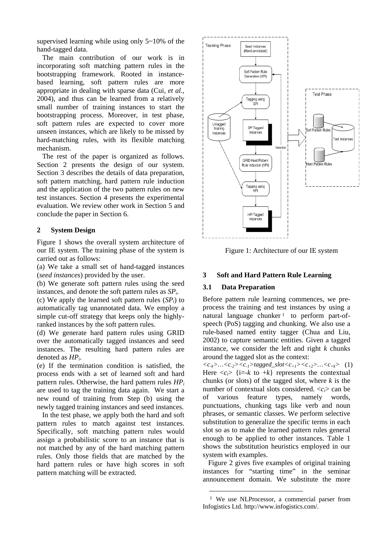supervised learning while using only 5~10% of the hand-tagged data.

The main contribution of our work is in incorporating soft matching pattern rules in the bootstrapping framework. Rooted in instancebased learning, soft pattern rules are more appropriate in dealing with sparse data (Cui, *et al.*, 2004), and thus can be learned from a relatively small number of training instances to start the bootstrapping process. Moreover, in test phase, soft pattern rules are expected to cover more unseen instances, which are likely to be missed by hard-matching rules, with its flexible matching mechanism.

The rest of the paper is organized as follows. Section 2 presents the design of our system. Section 3 describes the details of data preparation, soft pattern matching, hard pattern rule induction and the application of the two pattern rules on new test instances. Section 4 presents the experimental evaluation. We review other work in Section 5 and conclude the paper in Section 6.

### **2 System Design**

Figure 1 shows the overall system architecture of our IE system. The training phase of the system is carried out as follows:

(a) We take a small set of hand-tagged instances (*seed instances*) provided by the user.

(b) We generate soft pattern rules using the seed instances, and denote the soft pattern rules as *SPi*.

(c) We apply the learned soft pattern rules  $(SP_i)$  to automatically tag unannotated data. We employ a simple cut-off strategy that keeps only the highlyranked instances by the soft pattern rules.

(d) We generate hard pattern rules using GRID over the automatically tagged instances and seed instances. The resulting hard pattern rules are denoted as *HPi*.

(e) If the termination condition is satisfied, the process ends with a set of learned soft and hard pattern rules. Otherwise, the hard pattern rules *HPi* are used to tag the training data again. We start a new round of training from Step (b) using the newly tagged training instances and seed instances.

In the test phase, we apply both the hard and soft pattern rules to match against test instances. Specifically, soft matching pattern rules would assign a probabilistic score to an instance that is not matched by any of the hard matching pattern rules. Only those fields that are matched by the hard pattern rules or have high scores in soft pattern matching will be extracted.



Figure 1: Architecture of our IE system

## **3 Soft and Hard Pattern Rule Learning**

### **3.1 Data Preparation**

Before pattern rule learning commences, we preprocess the training and test instances by using a natural language chunker  $\frac{1}{1}$  to perform part-ofspeech (PoS) tagging and chunking. We also use a rule-based named entity tagger (Chua and Liu, 2002) to capture semantic entities. Given a tagged instance, we consider the left and right *k* chunks around the tagged slot as the context:

 $\langle c_{-k} \rangle$ ... $\langle c_{-2} \rangle \langle c_{-1} \rangle$ tagged\_slot $\langle c_{+1} \rangle \langle c_{+2} \rangle$ ... $\langle c_{+k} \rangle$  (1) Here  $\langle c_i \rangle$  {i=-*k* to +*k*} represents the contextual chunks (or slots) of the tagged slot, where *k* is the number of contextual slots considered.  $\langle c_i \rangle$  can be of various feature types, namely words, punctuations, chunking tags like verb and noun phrases, or semantic classes. We perform selective substitution to generalize the specific terms in each slot so as to make the learned pattern rules general enough to be applied to other instances. Table 1 shows the substitution heuristics employed in our system with examples.

Figure 2 gives five examples of original training instances for "starting time" in the seminar announcement domain. We substitute the more

<span id="page-1-0"></span><sup>&</sup>lt;sup>1</sup> We use NLProcessor, a commercial parser from Infogistics Ltd. http://www.infogistics.com/.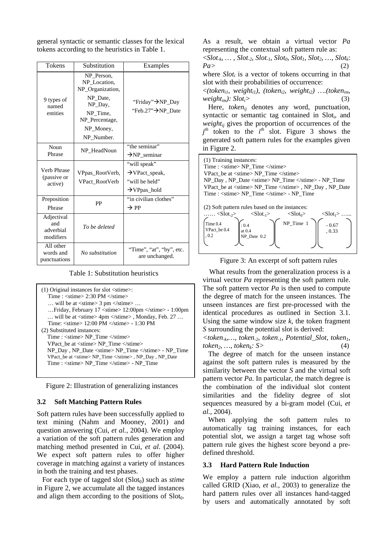general syntactic or semantic classes for the lexical tokens according to the heuristics in Table 1.

| Tokens                                      | Substitution                                   | Examples                                   |
|---------------------------------------------|------------------------------------------------|--------------------------------------------|
|                                             | NP Person,<br>NP Location.<br>NP_Organization, |                                            |
| 9 types of<br>named                         | NP Date,<br>NP_Day,                            | "Friday"→NP_Day                            |
| entities                                    | NP Time,<br>NP Percentage,                     | "Feb.27">NP_Date                           |
|                                             | NP_Money,<br>NP Number.                        |                                            |
| Noun                                        | NP HeadNoun                                    | "the seminar"                              |
| Phrase                                      |                                                | $\rightarrow$ NP seminar                   |
| Verb Phrase                                 |                                                | "will speak"                               |
| (passive or                                 | VPpas_RootVerb,                                | $\rightarrow$ VPact_speak,                 |
| active)                                     | <b>VPact RootVerb</b>                          | "will be held"                             |
|                                             |                                                | $\rightarrow$ VPpas_hold                   |
| Preposition                                 | PP                                             | "in civilian clothes"                      |
| Phrase                                      |                                                | $\rightarrow$ PP                           |
| Adjectival<br>and<br>adverbial<br>modifiers | To be deleted                                  |                                            |
| All other<br>words and<br>punctuations      | No substitution                                | "Time", "at", "by", etc.<br>are unchanged. |

Table 1: Substitution heuristics

(1) Original instances for slot <stime>: Time : <stime> 2:30 PM </stime>  $\ldots$  will be at  $\langle$ stime $\rangle$  3 pm  $\langle$ /stime $\rangle$  ... …Friday, February 17 <stime> 12:00pm </stime> - 1:00pm … will be at <stime> 4pm </stime> , Monday, Feb. 27 … Time: <stime> 12:00 PM </stime> - 1:30 PM (2) Substituted instances: Time : <stime> NP\_Time </stime> VPact\_be at <stime> NP\_Time </stime> NP\_Day , NP\_Date <stime> NP\_Time </stime> - NP\_Time VPact\_be at <stime> NP\_Time </stime> , NP\_Day , NP\_Date Time : <stime> NP\_Time </stime> - NP\_Time

Figure 2: Illustration of generalizing instances

#### **3.2 Soft Matching Pattern Rules**

Soft pattern rules have been successfully applied to text mining (Nahm and Mooney, 2001) and question answering (Cui, *et al.,* 2004). We employ a variation of the soft pattern rules generation and matching method presented in Cui, *et al*. (2004). We expect soft pattern rules to offer higher coverage in matching against a variety of instances in both the training and test phases.

For each type of tagged slot  $(Slot_0)$  such as *stime* in Figure 2, we accumulate all the tagged instances and align them according to the positions of  $Slot_0$ .

As a result, we obtain a virtual vector *Pa* representing the contextual soft pattern rule as:

 $\langle$ Slot<sub>-k</sub>, ..., Slot<sub>-2</sub>, Slot<sub>-1</sub>, Slot<sub>0</sub>, Slot<sub>1</sub>, Slot<sub>2</sub>, ..., Slot<sub>k</sub>: *Pa>* (2) where *Slot<sub>i</sub>* is a vector of tokens occurring in that slot with their probabilities of occurrence:  $\langle$ (token<sub>il</sub>, weight<sub>il</sub>), (token<sub>i2</sub>, weight<sub>i2</sub>) ….(token<sub>im</sub>,  $weight_{im}$ :  $Slot_i$  (3) Here, *token<sub>ii</sub>* denotes any word, punctuation, syntactic or semantic tag contained in Sloti, and

*weight<sub>ij</sub>* gives the proportion of occurrences of the  $j<sup>th</sup>$  token to the  $i<sup>th</sup>$  slot. Figure 3 shows the generated soft pattern rules for the examples given in Figure 2.

| (1) Training instances:<br>Time : $\langle$ stime> NP Time $\langle$ /stime><br>VPact be at $\langle$ stime $\rangle$ NP Time $\langle$ /stime $\rangle$<br>$NP$ Day, $NP$ Date <stime><math>NP</math> Time </stime> $-NP$ Time<br>VPact_be at <stime> NP_Time </stime> , NP_Day, NP_Date<br>Time : $\langle$ stime> NP Time $\langle$ /stime> - NP Time |                                                                                                                              |                                              |                                                      |  |  |  |  |
|----------------------------------------------------------------------------------------------------------------------------------------------------------------------------------------------------------------------------------------------------------------------------------------------------------------------------------------------------------|------------------------------------------------------------------------------------------------------------------------------|----------------------------------------------|------------------------------------------------------|--|--|--|--|
| $<$ Slot <sub>-2</sub> ><br>Time 0.4<br>VPact_be 0.4<br>. 0.2                                                                                                                                                                                                                                                                                            | (2) Soft pattern rules based on the instances:<br>$\langle \text{Slot}_{-1} \rangle$<br>$\cdot$ 0.4<br>at 0.4<br>NP Date 0.2 | $\langle \text{Slot}_0 \rangle$<br>NP_Time 1 | $\langle \text{Slot}_1 \rangle$<br>$-0.67$<br>. 0.33 |  |  |  |  |

Figure 3: An excerpt of soft pattern rules

What results from the generalization process is a virtual vector *Pa* representing the soft pattern rule. The soft pattern vector *Pa* is then used to compute the degree of match for the unseen instances. The unseen instances are first pre-processed with the identical procedures as outlined in Section 3.1. Using the same window size *k*, the token fragment *S* surrounding the potential slot is derived:

*<token-k,…, token-2, token-1, Potential\_Slot, token1,*   $token_2, ..., token_k: S>$  (4)

The degree of match for the unseen instance against the soft pattern rules is measured by the similarity between the vector *S* and the virtual soft pattern vector *Pa*. In particular, the match degree is the combination of the individual slot content similarities and the fidelity degree of slot sequences measured by a bi-gram model (Cui, *et al.,* 2004).

When applying the soft pattern rules to automatically tag training instances, for each potential slot, we assign a target tag whose soft pattern rule gives the highest score beyond a predefined threshold.

#### **3.3 Hard Pattern Rule Induction**

We employ a pattern rule induction algorithm called GRID (Xiao, *et al.,* 2003) to generalize the hard pattern rules over all instances hand-tagged by users and automatically annotated by soft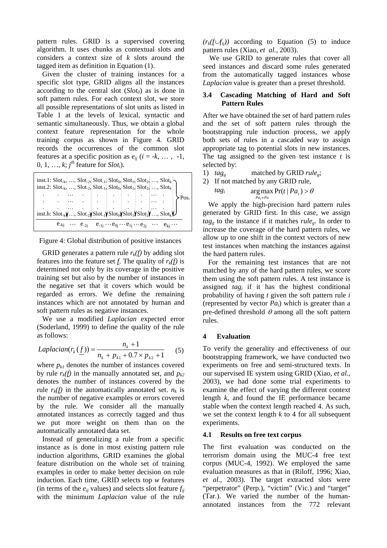pattern rules. GRID is a supervised covering algorithm. It uses chunks as contextual slots and considers a context size of *k* slots around the tagged item as definition in Equation (1).

Given the cluster of training instances for a specific slot type, GRID aligns all the instances according to the central slot  $(Slot_0)$  as is done in soft pattern rules. For each context slot, we store all possible representations of slot units as listed in Table 1 at the levels of lexical, syntactic and semantic simultaneously. Thus, we obtain a global context feature representation for the whole training corpus as shown in Figure 4. GRID records the occurrences of the common slot features at a specific position as  $e_{ii}$  ( $i = -k, \ldots, -1$ , 0, 1, ...,  $k$ ;  $j<sup>th</sup>$  feature for *Slot<sub>i</sub>*).

| inst.1: $\text{Slot}_{k_2}, , \text{Slot}_{2}$ , $\text{Slot}_{1}$ , $\text{Slot}_{0}$ , $\text{Slot}_{1}$ , $\text{Slot}_{2}$ , , $\text{Slot}_{k}$ |  |  |  |  | inst.2: $\text{Slot}_{k_2}, \ldots, \text{Slot}_{2_k}$ $\text{Slot}_{1_k}$ $\text{Slot}_{0_k}$ $\text{Slot}_{1_k}$ $\text{Slot}_{2_k}, \ldots, \text{Slot}_{k_k}$ |         |
|------------------------------------------------------------------------------------------------------------------------------------------------------|--|--|--|--|-------------------------------------------------------------------------------------------------------------------------------------------------------------------|---------|
|                                                                                                                                                      |  |  |  |  |                                                                                                                                                                   | $-Pos.$ |
| $\text{inst.h:}\ \text{Slot}_x\} \ldots \text{Slot}_2\text{Slot}_1\text{Slot}_0\text{Slot}_1\text{Slot}_2\ldots \text{Slot}_k$                       |  |  |  |  |                                                                                                                                                                   |         |
|                                                                                                                                                      |  |  |  |  | $e_{-kj}$ $e_{-2j}$ $e_{-1j}$ $e_{0j}$ $e_{1j}$ $e_{2j}$ $e_{ki}$                                                                                                 |         |

Figure 4: Global distribution of positive instances

GRID generates a pattern rule  $r_k(f)$  by adding slot features into the feature set *f*. The quality of  $r_k(f)$  is determined not only by its coverage in the positive training set but also by the number of instances in the negative set that it covers which would be regarded as errors. We define the remaining instances which are not annotated by human and soft pattern rules as negative instances.

 We use a modified *Laplacian* expected error (Soderland, 1999) to define the quality of the rule as follows:

$$
Laplacian(r_k(\underline{f})) = \frac{n_k + 1}{n_k + p_{k1} + 0.7 \times p_{k2} + 1} \qquad (5)
$$

where  $p_{kl}$  denotes the number of instances covered by rule  $r_k(f)$  in the manually annotated set, and  $p_{k2}$ denotes the number of instances covered by the rule  $r_k(f)$  in the automatically annotated set.  $n_k$  is the number of negative examples or errors covered by the rule. We consider all the manually annotated instances as correctly tagged and thus we put more weight on them than on the automatically annotated data set.

Instead of generalizing a rule from a specific instance as is done in most existing pattern rule induction algorithms, GRID examines the global feature distribution on the whole set of training examples in order to make better decision on rule induction. Each time, GRID selects top *w* features (in terms of the  $e_{ii}$  values) and selects slot feature  $f_{ii}$ with the minimum *Laplacian* value of the rule

 $(r_k(f \cup f_{ii}))$  according to Equation (5) to induce pattern rules (Xiao, *et al.,* 2003).

We use GRID to generate rules that cover all seed instances and discard some rules generated from the automatically tagged instances whose *Laplacian* value is greater than a preset threshold.

### **3.4 Cascading Matching of Hard and Soft Pattern Rules**

After we have obtained the set of hard pattern rules and the set of soft pattern rules through the bootstrapping rule induction process, we apply both sets of rules in a cascaded way to assign appropriate tag to potential slots in new instances. The tag assigned to the given test instance *t* is selected by:

- 1)  $tag_e$  matched by GRID  $rule_e$ ;
- 2) If not matched by any GRID rule, *tag<sub>i</sub>*  $\arg \max_{P a_i \in P a} \Pr(t | Pa_i) > \theta$ ∈ *i*

We apply the high-precision hard pattern rules generated by GRID first. In this case, we assign *tagg* to the instance if it matches *ruleg*. In order to increase the coverage of the hard pattern rules, we allow up to one shift in the context vectors of new test instances when matching the instances against the hard pattern rules.

For the remaining test instances that are not matched by any of the hard pattern rules, we score them using the soft pattern rules. A test instance is assigned *tagi* if it has the highest conditional probability of having *t* given the soft pattern rule *i* (represented by vector  $Pa_i$ ) which is greater than a pre-defined threshold  $\theta$  among all the soft pattern rules.

### **4 Evaluation**

To verify the generality and effectiveness of our bootstrapping framework, we have conducted two experiments on free and semi-structured texts. In our supervised IE system using GRID (Xiao, *et al.,* 2003), we had done some trial experiments to examine the effect of varying the different context length *k,* and found the IE performance became stable when the context length reached 4. As such, we set the context length *k* to 4 for all subsequent experiments.

#### **4.1 Results on free text corpus**

The first evaluation was conducted on the terrorism domain using the MUC-4 free text corpus (MUC-4, 1992). We employed the same evaluation measures as that in (Riloff, 1996; Xiao, *et al.,* 2003). The target extracted slots were "perpetrator" (Perp.), "victim" (Vic.) and "target" (Tar.). We varied the number of the humanannotated instances from the 772 relevant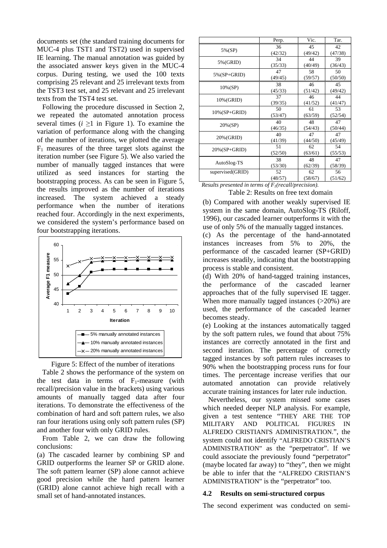documents set (the standard training documents for MUC-4 plus TST1 and TST2) used in supervised IE learning. The manual annotation was guided by the associated answer keys given in the MUC-4 corpus. During testing, we used the 100 texts comprising 25 relevant and 25 irrelevant texts from the TST3 test set, and 25 relevant and 25 irrelevant texts from the TST4 test set.

Following the procedure discussed in Section 2, we repeated the automated annotation process several times  $(i \geq 1$  in Figure 1). To examine the variation of performance along with the changing of the number of iterations, we plotted the average  $F_1$  measures of the three target slots against the iteration number (see Figure 5). We also varied the number of manually tagged instances that were utilized as seed instances for starting the bootstrapping process. As can be seen in Figure 5, the results improved as the number of iterations increased. The system achieved a steady performance when the number of iterations reached four. Accordingly in the next experiments, we considered the system's performance based on four bootstrapping iterations.



Figure 5: Effect of the number of iterations

Table 2 shows the performance of the system on the test data in terms of  $F_1$ -measure (with recall/precision value in the brackets) using various amounts of manually tagged data after four iterations. To demonstrate the effectiveness of the combination of hard and soft pattern rules, we also ran four iterations using only soft pattern rules (SP) and another four with only GRID rules.

From Table 2, we can draw the following conclusions:

(a) The cascaded learner by combining SP and GRID outperforms the learner SP or GRID alone. The soft pattern learner (SP) alone cannot achieve good precision while the hard pattern learner (GRID) alone cannot achieve high recall with a small set of hand-annotated instances.

|                  | Perp.   | Vic.    | Tar.    |
|------------------|---------|---------|---------|
| 5%(SP)           | 36      | 45      | 42      |
|                  | (42/32) | (49/42) | (47/38) |
| 5%(GRID)         | 34      | 44      | 39      |
|                  | (35/33) | (40/49) | (36/43) |
| $5\%$ (SP+GRID)  | 47      | 58      | 50      |
|                  | (49/45) | (59/57) | (50/50) |
| 10% (SP)         | 38      | 46      | 45      |
|                  | (45/33) | (51/42) | (49/42) |
| 10% (GRID)       | 37      | 46      | 44      |
|                  | (39/35) | (41/52) | (41/47) |
| $10\%$ (SP+GRID) | 50      | 61      | 53      |
|                  | (53/47) | (63/59) | (52/54) |
| 20%(SP)          | 40      | 48      | 47      |
|                  | (46/35) | (54/43) | (50/44) |
| 20% (GRID)       | 40      | 47      | 47      |
|                  | (41/39) | (44/50) | (45/49) |
| $20\%$ (SP+GRID) | 51      | 62      | 54      |
|                  | (52/50) | (63/61) | (55/53) |
| AutoSlog-TS      | 38      | 48      | 47      |
|                  | (53/30) | (62/39) | (58/39) |
| supervised(GRID) | 52      | 62      | 56      |
|                  | (48/57) | (58/67) | (51/62) |

| Results presented in terms of $F_i$ (recall/precision). |
|---------------------------------------------------------|
| Table 2: Results on free text domain                    |

(b) Compared with another weakly supervised IE system in the same domain, AutoSlog-TS (Riloff, 1996), our cascaded learner outperforms it with the use of only 5% of the manually tagged instances.

(c) As the percentage of the hand-annotated instances increases from 5% to 20%, the performance of the cascaded learner (SP+GRID) increases steadily, indicating that the bootstrapping process is stable and consistent.

(d) With 20% of hand-tagged training instances, the performance of the cascaded learner approaches that of the fully supervised IE tagger. When more manually tagged instances ( $>20\%$ ) are used, the performance of the cascaded learner becomes steady.

(e) Looking at the instances automatically tagged by the soft pattern rules, we found that about 75% instances are correctly annotated in the first and second iteration. The percentage of correctly tagged instances by soft pattern rules increases to 90% when the bootstrapping process runs for four times. The percentage increase verifies that our automated annotation can provide relatively accurate training instances for later rule induction.

Nevertheless, our system missed some cases which needed deeper NLP analysis. For example, given a test sentence "THEY ARE THE TOP MILITARY AND POLITICAL FIGURES IN ALFREDO CRISTIANI'S ADMINISTRATION.", the system could not identify "ALFREDO CRISTIAN'S ADMINISTRATION" as the "perpetrator". If we could associate the previously found "perpetrator" (maybe located far away) to "they", then we might be able to infer that the "ALFREDO CRISTIAN'S ADMINISTRATION" is the "perpetrator" too.

### **4.2 Results on semi-structured corpus**

The second experiment was conducted on semi-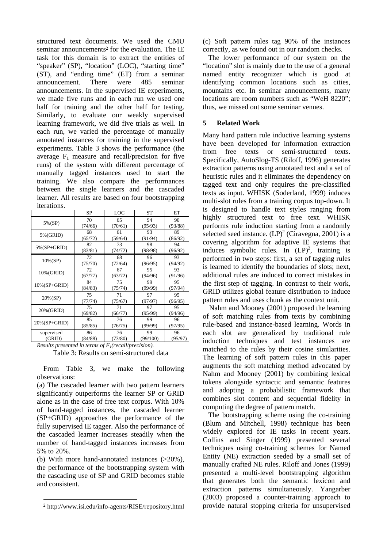structured text documents. We used the CMU seminar announcements<sup>2</sup> for the evaluation. The IE task for this domain is to extract the entities of "speaker" (SP), "location" (LOC), "starting time" (ST), and "ending time" (ET) from a seminar announcement. There were 485 seminar announcements. In the supervised IE experiments, we made five runs and in each run we used one half for training and the other half for testing. Similarly, to evaluate our weakly supervised learning framework, we did five trials as well. In each run, we varied the percentage of manually annotated instances for training in the supervised experiments. Table 3 shows the performance (the average  $F_1$  measure and recall/precision for five runs) of the system with different percentage of manually tagged instances used to start the training. We also compare the performances between the single learners and the cascaded learner. All results are based on four bootstrapping iterations.

|                  | SP      | LOC     | ST       | ET      |
|------------------|---------|---------|----------|---------|
|                  | 70      | 65      | 94       | 90      |
| 5%(SP)           | (74/66) | (70/61) | (95/93)  | (93/88) |
| 5%(GRID)         | 68      | 61      | 93       | 89      |
|                  | (65/72) | (59/64) | (91/94)  | (86/92) |
| $5\%$ (SP+GRID)  | 82      | 73      | 98       | 94      |
|                  | (83/81) | (74/72) | (98/98)  | (96/92) |
| 10%(SP)          | 72      | 68      | 96       | 93      |
|                  | (75/70) | (72/64) | (96/95)  | (94/92) |
| 10% (GRID)       | 72      | 67      | 95       | 93      |
|                  | (67/77) | (63/72) | (94/96)  | (91/96) |
| $10\%$ (SP+GRID) | 84      | 75      | 99       | 95      |
|                  | (84/83) | (75/74) | (99/99)  | (97/94) |
| 20%(SP)          | 75      | 71      | 97       | 95      |
|                  | (77/74) | (75/67) | (97/97)  | (96/95) |
| 20% (GRID)       | 75      | 71      | 97       | 95      |
|                  | (69/82) | (66/77) | (95/99)  | (94/96) |
| $20\%$ (SP+GRID) | 85      | 76      | 99       | 96      |
|                  | (85/85) | (76/75) | (99/99)  | (97/95) |
| supervised       | 86      | 76      | 99       | 96      |
| (GRID)           | (84/88) | (73/80) | (99/100) | (95/97) |

*Results presented in terms of*  $F_1$ *(recall/precision).* Table 3: Results on semi-structured data

 From Table 3, we make the following observations:

(a) The cascaded learner with two pattern learners significantly outperforms the learner SP or GRID alone as in the case of free text corpus. With 10% of hand-tagged instances, the cascaded learner (SP+GRID) approaches the performance of the fully supervised IE tagger. Also the performance of the cascaded learner increases steadily when the number of hand-tagged instances increases from 5% to 20%.

(b) With more hand-annotated instances (>20%), the performance of the bootstrapping system with the cascading use of SP and GRID becomes stable and consistent.

l

(c) Soft pattern rules tag 90% of the instances correctly, as we found out in our random checks.

 The lower performance of our system on the "location" slot is mainly due to the use of a general named entity recognizer which is good at identifying common locations such as cities, mountains etc. In seminar announcements, many locations are room numbers such as "WeH 8220"; thus, we missed out some seminar venues.

## **5 Related Work**

Many hard pattern rule inductive learning systems have been developed for information extraction from free texts or semi-structured texts. Specifically, AutoSlog-TS (Riloff, 1996) generates extraction patterns using annotated text and a set of heuristic rules and it eliminates the dependency on tagged text and only requires the pre-classified texts as input. WHISK (Soderland, 1999) induces multi-slot rules from a training corpus top-down. It is designed to handle text styles ranging from highly structured text to free text. WHISK performs rule induction starting from a randomly selected seed instance.  $(LP)^2$  (Ciravegna, 2001) is a covering algorithm for adaptive IE systems that induces symbolic rules. In  $(LP)^2$ , training is performed in two steps: first, a set of tagging rules is learned to identify the boundaries of slots; next, additional rules are induced to correct mistakes in the first step of tagging. In contrast to their work, GRID utilizes global feature distribution to induce pattern rules and uses chunk as the context unit.

Nahm and Mooney (2001) proposed the learning of soft matching rules from texts by combining rule-based and instance-based learning. Words in each slot are generalized by traditional rule induction techniques and test instances are matched to the rules by their cosine similarities. The learning of soft pattern rules in this paper augments the soft matching method advocated by Nahm and Mooney (2001) by combining lexical tokens alongside syntactic and semantic features and adopting a probabilistic framework that combines slot content and sequential fidelity in computing the degree of pattern match.

 The bootstrapping scheme using the co-training (Blum and Mitchell, 1998) technique has been widely explored for IE tasks in recent years. Collins and Singer (1999) presented several techniques using co-training schemes for Named Entity (NE) extraction seeded by a small set of manually crafted NE rules. Riloff and Jones (1999) presented a multi-level bootstrapping algorithm that generates both the semantic lexicon and extraction patterns simultaneously. Yangarber (2003) proposed a counter-training approach to provide natural stopping criteria for unsupervised

<span id="page-5-0"></span><sup>2</sup> http://www.isi.edu/info-agents/RISE/repository.html